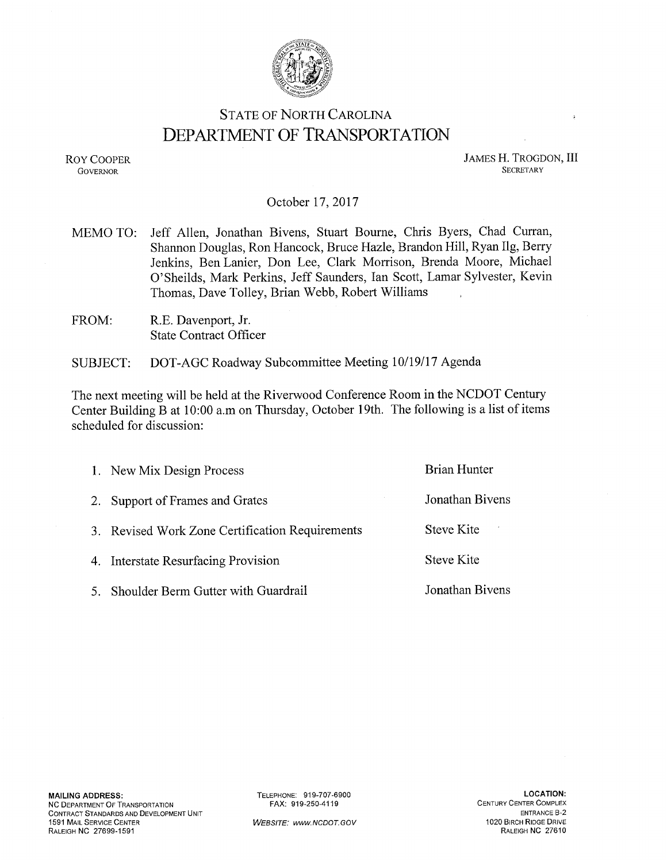

# **STATE OF NORTH CAROLINA DEPARTMENT OF TRANSPORTATION**

**ROY COOPER GOVERNOR** 

**JAMES H. TROGDON, III SECRETARY** 

### October 17, 2017

- Jeff Allen, Jonathan Bivens, Stuart Bourne, Chris Byers, Chad Curran, MEMO TO: Shannon Douglas, Ron Hancock, Bruce Hazle, Brandon Hill, Ryan Ilg, Berry Jenkins, Ben Lanier, Don Lee, Clark Morrison, Brenda Moore, Michael O'Sheilds, Mark Perkins, Jeff Saunders, Ian Scott, Lamar Sylvester, Kevin Thomas, Dave Tolley, Brian Webb, Robert Williams
- FROM: R.E. Davenport, Jr. **State Contract Officer**

DOT-AGC Roadway Subcommittee Meeting 10/19/17 Agenda **SUBJECT:** 

The next meeting will be held at the Riverwood Conference Room in the NCDOT Century Center Building B at 10:00 a.m on Thursday, October 19th. The following is a list of items scheduled for discussion:

| 1. New Mix Design Process                       | <b>Brian Hunter</b> |
|-------------------------------------------------|---------------------|
| 2. Support of Frames and Grates                 | Jonathan Bivens     |
| 3. Revised Work Zone Certification Requirements | Steve Kite          |
| 4. Interstate Resurfacing Provision             | <b>Steve Kite</b>   |
| 5. Shoulder Berm Gutter with Guardrail          | Jonathan Bivens     |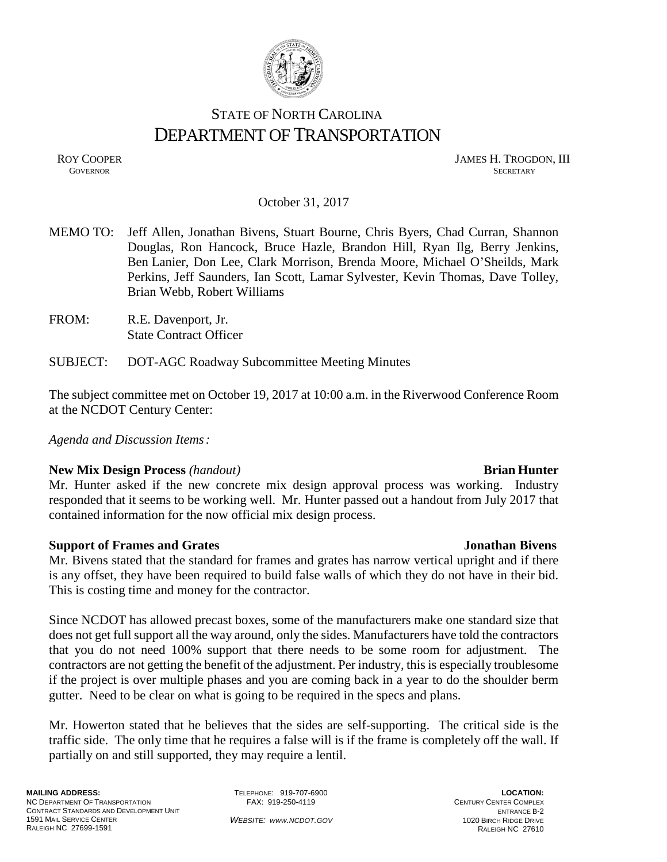

# STATE OF NORTH CAROLINA DEPARTMENT OF TRANSPORTATION

ROY COOPER JAMES H. TROGDON, III **GOVERNOR** SECRETARY

### October 31, 2017

- MEMO TO: Jeff Allen, Jonathan Bivens, Stuart Bourne, Chris Byers, Chad Curran, Shannon Douglas, Ron Hancock, Bruce Hazle, Brandon Hill, Ryan Ilg, Berry Jenkins, Ben Lanier, Don Lee, Clark Morrison, Brenda Moore, Michael O'Sheilds, Mark Perkins, Jeff Saunders, Ian Scott, Lamar Sylvester, Kevin Thomas, Dave Tolley, Brian Webb, Robert Williams
- FROM: R.E. Davenport, Jr. State Contract Officer
- SUBJECT: DOT-AGC Roadway Subcommittee Meeting Minutes

The subject committee met on October 19, 2017 at 10:00 a.m. in the Riverwood Conference Room at the NCDOT Century Center:

*Agenda and Discussion Items:*

## **New Mix Design Process** (handout) **Brian Hunter**

Mr. Hunter asked if the new concrete mix design approval process was working. Industry responded that it seems to be working well. Mr. Hunter passed out a handout from July 2017 that contained information for the now official mix design process.

## **Support of Frames and Grates Jonathan Bivens**

Mr. Bivens stated that the standard for frames and grates has narrow vertical upright and if there is any offset, they have been required to build false walls of which they do not have in their bid. This is costing time and money for the contractor.

Since NCDOT has allowed precast boxes, some of the manufacturers make one standard size that does not get full support all the way around, only the sides. Manufacturers have told the contractors that you do not need 100% support that there needs to be some room for adjustment. The contractors are not getting the benefit of the adjustment. Per industry, this is especially troublesome if the project is over multiple phases and you are coming back in a year to do the shoulder berm gutter. Need to be clear on what is going to be required in the specs and plans.

Mr. Howerton stated that he believes that the sides are self-supporting. The critical side is the traffic side. The only time that he requires a false will is if the frame is completely off the wall. If partially on and still supported, they may require a lentil.

TELEPHONE: 919-707-6900 FAX: 919-250-4119

*WEBSITE: WWW.NCDOT.GOV*

**LOCATION:** CENTURY CENTER COMPLEX ENTRANCE B-2 1020 BIRCH RIDGE DRIVE RALEIGH NC 27610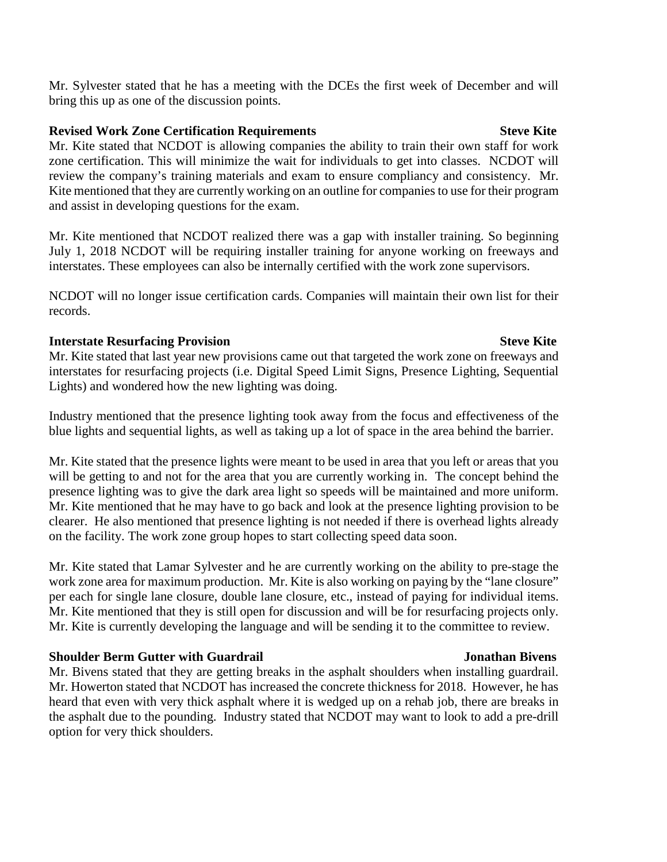Mr. Sylvester stated that he has a meeting with the DCEs the first week of December and will bring this up as one of the discussion points.

# **Revised Work Zone Certification Requirements Steve Kite**

Mr. Kite stated that NCDOT is allowing companies the ability to train their own staff for work zone certification. This will minimize the wait for individuals to get into classes. NCDOT will review the company's training materials and exam to ensure compliancy and consistency. Mr. Kite mentioned that they are currently working on an outline for companies to use for their program and assist in developing questions for the exam.

Mr. Kite mentioned that NCDOT realized there was a gap with installer training. So beginning July 1, 2018 NCDOT will be requiring installer training for anyone working on freeways and interstates. These employees can also be internally certified with the work zone supervisors.

NCDOT will no longer issue certification cards. Companies will maintain their own list for their records.

# **Interstate Resurfacing Provision Steve Kite** Steve Kite

Mr. Kite stated that last year new provisions came out that targeted the work zone on freeways and interstates for resurfacing projects (i.e. Digital Speed Limit Signs, Presence Lighting, Sequential Lights) and wondered how the new lighting was doing.

Industry mentioned that the presence lighting took away from the focus and effectiveness of the blue lights and sequential lights, as well as taking up a lot of space in the area behind the barrier.

Mr. Kite stated that the presence lights were meant to be used in area that you left or areas that you will be getting to and not for the area that you are currently working in. The concept behind the presence lighting was to give the dark area light so speeds will be maintained and more uniform. Mr. Kite mentioned that he may have to go back and look at the presence lighting provision to be clearer. He also mentioned that presence lighting is not needed if there is overhead lights already on the facility. The work zone group hopes to start collecting speed data soon.

Mr. Kite stated that Lamar Sylvester and he are currently working on the ability to pre-stage the work zone area for maximum production. Mr. Kite is also working on paying by the "lane closure" per each for single lane closure, double lane closure, etc., instead of paying for individual items. Mr. Kite mentioned that they is still open for discussion and will be for resurfacing projects only. Mr. Kite is currently developing the language and will be sending it to the committee to review.

# **Shoulder Berm Gutter with Guardrail Jonathan Bivens**

Mr. Bivens stated that they are getting breaks in the asphalt shoulders when installing guardrail. Mr. Howerton stated that NCDOT has increased the concrete thickness for 2018. However, he has heard that even with very thick asphalt where it is wedged up on a rehab job, there are breaks in the asphalt due to the pounding. Industry stated that NCDOT may want to look to add a pre-drill option for very thick shoulders.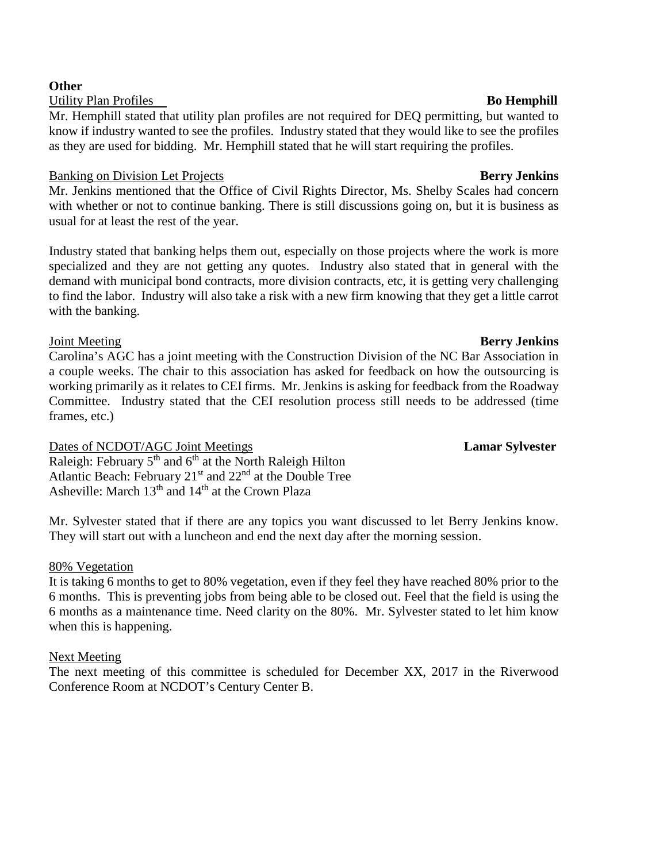### **Other**

Utility Plan Profiles **Bo Hemphill** 

Mr. Hemphill stated that utility plan profiles are not required for DEQ permitting, but wanted to know if industry wanted to see the profiles. Industry stated that they would like to see the profiles as they are used for bidding. Mr. Hemphill stated that he will start requiring the profiles.

## Banking on Division Let Projects **Berry Jenkins**

Mr. Jenkins mentioned that the Office of Civil Rights Director, Ms. Shelby Scales had concern with whether or not to continue banking. There is still discussions going on, but it is business as usual for at least the rest of the year.

Industry stated that banking helps them out, especially on those projects where the work is more specialized and they are not getting any quotes. Industry also stated that in general with the demand with municipal bond contracts, more division contracts, etc, it is getting very challenging to find the labor. Industry will also take a risk with a new firm knowing that they get a little carrot with the banking.

# Joint Meeting **Berry Jenkins**

Carolina's AGC has a joint meeting with the Construction Division of the NC Bar Association in a couple weeks. The chair to this association has asked for feedback on how the outsourcing is working primarily as it relates to CEI firms. Mr. Jenkins is asking for feedback from the Roadway Committee. Industry stated that the CEI resolution process still needs to be addressed (time frames, etc.)

Dates of NCDOT/AGC Joint Meetings **Lamar Sylvester** Raleigh: February  $5<sup>th</sup>$  and  $6<sup>th</sup>$  at the North Raleigh Hilton Atlantic Beach: February 21<sup>st</sup> and 22<sup>nd</sup> at the Double Tree Asheville: March  $13<sup>th</sup>$  and  $14<sup>th</sup>$  at the Crown Plaza

Mr. Sylvester stated that if there are any topics you want discussed to let Berry Jenkins know. They will start out with a luncheon and end the next day after the morning session.

# 80% Vegetation

It is taking 6 months to get to 80% vegetation, even if they feel they have reached 80% prior to the 6 months. This is preventing jobs from being able to be closed out. Feel that the field is using the 6 months as a maintenance time. Need clarity on the 80%. Mr. Sylvester stated to let him know when this is happening.

## Next Meeting

The next meeting of this committee is scheduled for December XX, 2017 in the Riverwood Conference Room at NCDOT's Century Center B.